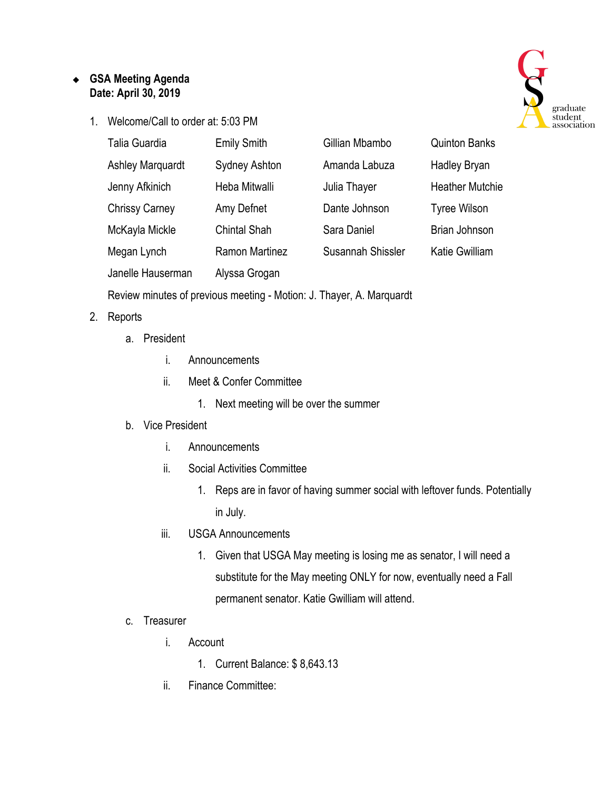## ❖ **GSA Meeting Agenda Date: April 30, 2019**

1. Welcome/Call to order at: 5:03 PM



| Talia Guardia           | <b>Emily Smith</b>    | Gillian Mbambo    | <b>Quinton Banks</b>   |
|-------------------------|-----------------------|-------------------|------------------------|
| <b>Ashley Marquardt</b> | <b>Sydney Ashton</b>  | Amanda Labuza     | <b>Hadley Bryan</b>    |
| Jenny Afkinich          | Heba Mitwalli         | Julia Thayer      | <b>Heather Mutchie</b> |
| <b>Chrissy Carney</b>   | Amy Defnet            | Dante Johnson     | <b>Tyree Wilson</b>    |
| McKayla Mickle          | <b>Chintal Shah</b>   | Sara Daniel       | Brian Johnson          |
| Megan Lynch             | <b>Ramon Martinez</b> | Susannah Shissler | Katie Gwilliam         |
| Janelle Hauserman       | Alyssa Grogan         |                   |                        |

Review minutes of previous meeting - Motion: J. Thayer, A. Marquardt

## 2. Reports

- a. President
	- i. Announcements
	- ii. Meet & Confer Committee
		- 1. Next meeting will be over the summer

## b. Vice President

- i. Announcements
- ii. Social Activities Committee
	- 1. Reps are in favor of having summer social with leftover funds. Potentially in July.
- iii. USGA Announcements
	- 1. Given that USGA May meeting is losing me as senator, I will need a substitute for the May meeting ONLY for now, eventually need a Fall permanent senator. Katie Gwilliam will attend.

## c. Treasurer

- i. Account
	- 1. Current Balance: \$ 8,643.13
- ii. Finance Committee: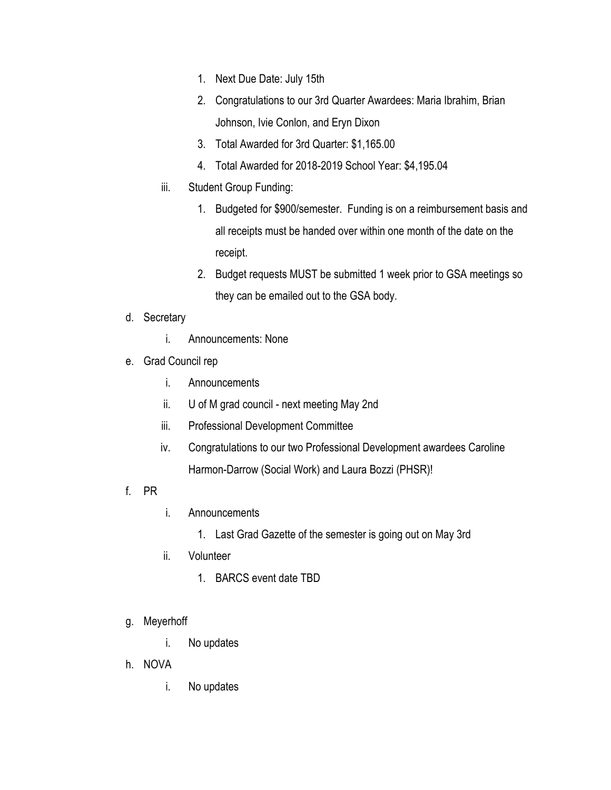- 1. Next Due Date: July 15th
- 2. Congratulations to our 3rd Quarter Awardees: Maria Ibrahim, Brian Johnson, Ivie Conlon, and Eryn Dixon
- 3. Total Awarded for 3rd Quarter: \$1,165.00
- 4. Total Awarded for 2018-2019 School Year: \$4,195.04
- iii. Student Group Funding:
	- 1. Budgeted for \$900/semester. Funding is on a reimbursement basis and all receipts must be handed over within one month of the date on the receipt.
	- 2. Budget requests MUST be submitted 1 week prior to GSA meetings so they can be emailed out to the GSA body.
- d. Secretary
	- i. Announcements: None
- e. Grad Council rep
	- i. Announcements
	- ii. U of M grad council next meeting May 2nd
	- iii. Professional Development Committee
	- iv. Congratulations to our two Professional Development awardees Caroline Harmon-Darrow (Social Work) and Laura Bozzi (PHSR)!
- f. PR
- i. Announcements
	- 1. Last Grad Gazette of the semester is going out on May 3rd
- ii. Volunteer
	- 1. BARCS event date TBD
- g. Meyerhoff
	- i. No updates
- h. NOVA
	- i. No updates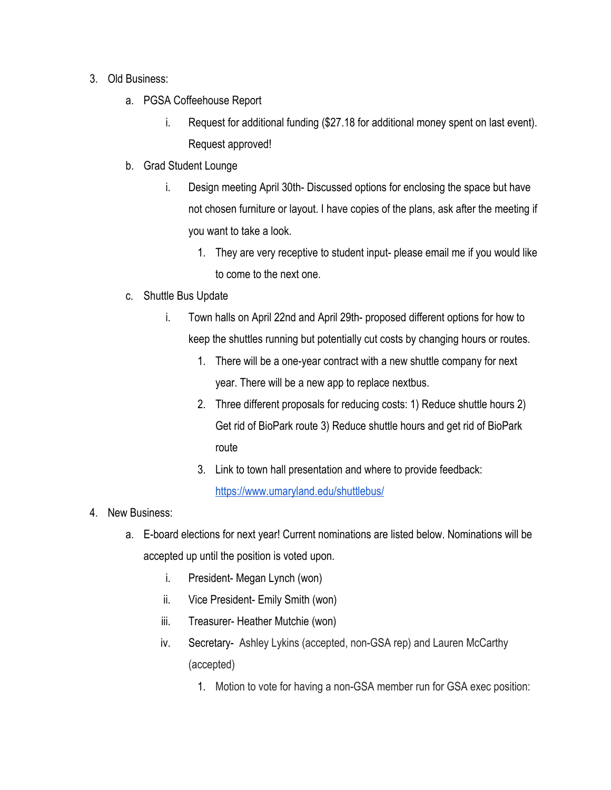- 3. Old Business:
	- a. PGSA Coffeehouse Report
		- i. Request for additional funding (\$27.18 for additional money spent on last event). Request approved!
	- b. Grad Student Lounge
		- i. Design meeting April 30th- Discussed options for enclosing the space but have not chosen furniture or layout. I have copies of the plans, ask after the meeting if you want to take a look.
			- 1. They are very receptive to student input- please email me if you would like to come to the next one.
	- c. Shuttle Bus Update
		- i. Town halls on April 22nd and April 29th- proposed different options for how to keep the shuttles running but potentially cut costs by changing hours or routes.
			- 1. There will be a one-year contract with a new shuttle company for next year. There will be a new app to replace nextbus.
			- 2. Three different proposals for reducing costs: 1) Reduce shuttle hours 2) Get rid of BioPark route 3) Reduce shuttle hours and get rid of BioPark route
			- 3. Link to town hall presentation and where to provide feedback: <https://www.umaryland.edu/shuttlebus/>
- 4. New Business:
	- a. E-board elections for next year! Current nominations are listed below. Nominations will be accepted up until the position is voted upon.
		- i. President- Megan Lynch (won)
		- ii. Vice President- Emily Smith (won)
		- iii. Treasurer- Heather Mutchie (won)
		- iv. Secretary- Ashley Lykins (accepted, non-GSA rep) and Lauren McCarthy (accepted)
			- 1. Motion to vote for having a non-GSA member run for GSA exec position: